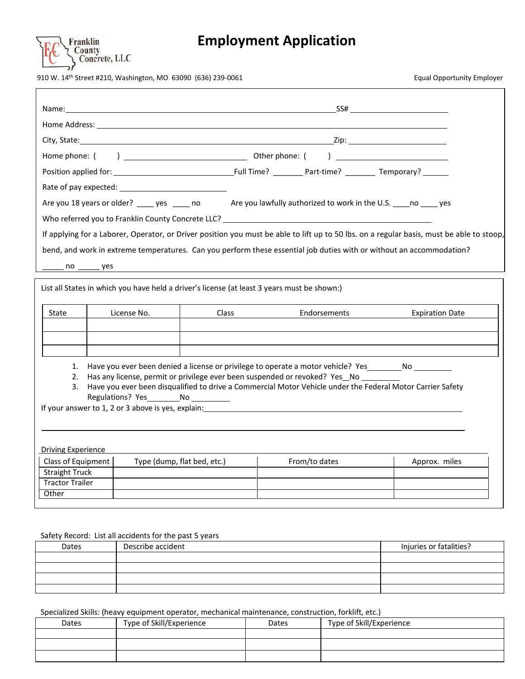

# **Employment Application**

910 W. 14<sup>th</sup> Street #210, Washington, MO 63090 (636) 239-0061

| <b>Equal Opportunity Employer</b> |  |
|-----------------------------------|--|
|                                   |  |

| SS# and the state of the state of the state of the state of the state of the state of the state of the state of the state of the state of the state of the state of the state of the state of the state of the state of the st<br>Name: when the contract of the contract of the contract of the contract of the contract of the contract of the<br>Rate of pay expected: National Property of Payer and Property and Property and Property and Property and Proper<br>Are you 18 years or older? _____ yes ______ no ______ Are you lawfully authorized to work in the U.S. _____no _____ yes<br>bend, and work in extreme temperatures. Can you perform these essential job duties with or without an accommodation?<br>$no \_\_\\$<br>List all States in which you have held a driver's license (at least 3 years must be shown:)<br>Class<br>State<br>License No.<br>Endorsements<br><b>Expiration Date</b><br>1. Have you ever been denied a license or privilege to operate a motor vehicle? Yes ________________<br>Has any license, permit or privilege ever been suspended or revoked? Yes No<br>2.<br>Have you ever been disqualified to drive a Commercial Motor Vehicle under the Federal Motor Carrier Safety<br>3.<br>Regulations? Yes No<br>If your answer to 1, 2 or 3 above is yes, explain:<br><b>Driving Experience</b><br>Class of Equipment<br>Type (dump, flat bed, etc.)<br>From/to dates<br>Approx. miles<br><b>Straight Truck</b><br><b>Tractor Trailer</b><br>Other |  |  |  |  |  |  |
|-----------------------------------------------------------------------------------------------------------------------------------------------------------------------------------------------------------------------------------------------------------------------------------------------------------------------------------------------------------------------------------------------------------------------------------------------------------------------------------------------------------------------------------------------------------------------------------------------------------------------------------------------------------------------------------------------------------------------------------------------------------------------------------------------------------------------------------------------------------------------------------------------------------------------------------------------------------------------------------------------------------------------------------------------------------------------------------------------------------------------------------------------------------------------------------------------------------------------------------------------------------------------------------------------------------------------------------------------------------------------------------------------------------------------------------------------------------------------------------------------|--|--|--|--|--|--|
|                                                                                                                                                                                                                                                                                                                                                                                                                                                                                                                                                                                                                                                                                                                                                                                                                                                                                                                                                                                                                                                                                                                                                                                                                                                                                                                                                                                                                                                                                               |  |  |  |  |  |  |
|                                                                                                                                                                                                                                                                                                                                                                                                                                                                                                                                                                                                                                                                                                                                                                                                                                                                                                                                                                                                                                                                                                                                                                                                                                                                                                                                                                                                                                                                                               |  |  |  |  |  |  |
|                                                                                                                                                                                                                                                                                                                                                                                                                                                                                                                                                                                                                                                                                                                                                                                                                                                                                                                                                                                                                                                                                                                                                                                                                                                                                                                                                                                                                                                                                               |  |  |  |  |  |  |
|                                                                                                                                                                                                                                                                                                                                                                                                                                                                                                                                                                                                                                                                                                                                                                                                                                                                                                                                                                                                                                                                                                                                                                                                                                                                                                                                                                                                                                                                                               |  |  |  |  |  |  |
|                                                                                                                                                                                                                                                                                                                                                                                                                                                                                                                                                                                                                                                                                                                                                                                                                                                                                                                                                                                                                                                                                                                                                                                                                                                                                                                                                                                                                                                                                               |  |  |  |  |  |  |
|                                                                                                                                                                                                                                                                                                                                                                                                                                                                                                                                                                                                                                                                                                                                                                                                                                                                                                                                                                                                                                                                                                                                                                                                                                                                                                                                                                                                                                                                                               |  |  |  |  |  |  |
|                                                                                                                                                                                                                                                                                                                                                                                                                                                                                                                                                                                                                                                                                                                                                                                                                                                                                                                                                                                                                                                                                                                                                                                                                                                                                                                                                                                                                                                                                               |  |  |  |  |  |  |
| If applying for a Laborer, Operator, or Driver position you must be able to lift up to 50 lbs. on a regular basis, must be able to stoop,                                                                                                                                                                                                                                                                                                                                                                                                                                                                                                                                                                                                                                                                                                                                                                                                                                                                                                                                                                                                                                                                                                                                                                                                                                                                                                                                                     |  |  |  |  |  |  |
|                                                                                                                                                                                                                                                                                                                                                                                                                                                                                                                                                                                                                                                                                                                                                                                                                                                                                                                                                                                                                                                                                                                                                                                                                                                                                                                                                                                                                                                                                               |  |  |  |  |  |  |
|                                                                                                                                                                                                                                                                                                                                                                                                                                                                                                                                                                                                                                                                                                                                                                                                                                                                                                                                                                                                                                                                                                                                                                                                                                                                                                                                                                                                                                                                                               |  |  |  |  |  |  |
|                                                                                                                                                                                                                                                                                                                                                                                                                                                                                                                                                                                                                                                                                                                                                                                                                                                                                                                                                                                                                                                                                                                                                                                                                                                                                                                                                                                                                                                                                               |  |  |  |  |  |  |
|                                                                                                                                                                                                                                                                                                                                                                                                                                                                                                                                                                                                                                                                                                                                                                                                                                                                                                                                                                                                                                                                                                                                                                                                                                                                                                                                                                                                                                                                                               |  |  |  |  |  |  |
|                                                                                                                                                                                                                                                                                                                                                                                                                                                                                                                                                                                                                                                                                                                                                                                                                                                                                                                                                                                                                                                                                                                                                                                                                                                                                                                                                                                                                                                                                               |  |  |  |  |  |  |
|                                                                                                                                                                                                                                                                                                                                                                                                                                                                                                                                                                                                                                                                                                                                                                                                                                                                                                                                                                                                                                                                                                                                                                                                                                                                                                                                                                                                                                                                                               |  |  |  |  |  |  |
|                                                                                                                                                                                                                                                                                                                                                                                                                                                                                                                                                                                                                                                                                                                                                                                                                                                                                                                                                                                                                                                                                                                                                                                                                                                                                                                                                                                                                                                                                               |  |  |  |  |  |  |
|                                                                                                                                                                                                                                                                                                                                                                                                                                                                                                                                                                                                                                                                                                                                                                                                                                                                                                                                                                                                                                                                                                                                                                                                                                                                                                                                                                                                                                                                                               |  |  |  |  |  |  |
|                                                                                                                                                                                                                                                                                                                                                                                                                                                                                                                                                                                                                                                                                                                                                                                                                                                                                                                                                                                                                                                                                                                                                                                                                                                                                                                                                                                                                                                                                               |  |  |  |  |  |  |
|                                                                                                                                                                                                                                                                                                                                                                                                                                                                                                                                                                                                                                                                                                                                                                                                                                                                                                                                                                                                                                                                                                                                                                                                                                                                                                                                                                                                                                                                                               |  |  |  |  |  |  |
|                                                                                                                                                                                                                                                                                                                                                                                                                                                                                                                                                                                                                                                                                                                                                                                                                                                                                                                                                                                                                                                                                                                                                                                                                                                                                                                                                                                                                                                                                               |  |  |  |  |  |  |
|                                                                                                                                                                                                                                                                                                                                                                                                                                                                                                                                                                                                                                                                                                                                                                                                                                                                                                                                                                                                                                                                                                                                                                                                                                                                                                                                                                                                                                                                                               |  |  |  |  |  |  |
|                                                                                                                                                                                                                                                                                                                                                                                                                                                                                                                                                                                                                                                                                                                                                                                                                                                                                                                                                                                                                                                                                                                                                                                                                                                                                                                                                                                                                                                                                               |  |  |  |  |  |  |
|                                                                                                                                                                                                                                                                                                                                                                                                                                                                                                                                                                                                                                                                                                                                                                                                                                                                                                                                                                                                                                                                                                                                                                                                                                                                                                                                                                                                                                                                                               |  |  |  |  |  |  |
|                                                                                                                                                                                                                                                                                                                                                                                                                                                                                                                                                                                                                                                                                                                                                                                                                                                                                                                                                                                                                                                                                                                                                                                                                                                                                                                                                                                                                                                                                               |  |  |  |  |  |  |
|                                                                                                                                                                                                                                                                                                                                                                                                                                                                                                                                                                                                                                                                                                                                                                                                                                                                                                                                                                                                                                                                                                                                                                                                                                                                                                                                                                                                                                                                                               |  |  |  |  |  |  |
|                                                                                                                                                                                                                                                                                                                                                                                                                                                                                                                                                                                                                                                                                                                                                                                                                                                                                                                                                                                                                                                                                                                                                                                                                                                                                                                                                                                                                                                                                               |  |  |  |  |  |  |
|                                                                                                                                                                                                                                                                                                                                                                                                                                                                                                                                                                                                                                                                                                                                                                                                                                                                                                                                                                                                                                                                                                                                                                                                                                                                                                                                                                                                                                                                                               |  |  |  |  |  |  |
|                                                                                                                                                                                                                                                                                                                                                                                                                                                                                                                                                                                                                                                                                                                                                                                                                                                                                                                                                                                                                                                                                                                                                                                                                                                                                                                                                                                                                                                                                               |  |  |  |  |  |  |
|                                                                                                                                                                                                                                                                                                                                                                                                                                                                                                                                                                                                                                                                                                                                                                                                                                                                                                                                                                                                                                                                                                                                                                                                                                                                                                                                                                                                                                                                                               |  |  |  |  |  |  |
|                                                                                                                                                                                                                                                                                                                                                                                                                                                                                                                                                                                                                                                                                                                                                                                                                                                                                                                                                                                                                                                                                                                                                                                                                                                                                                                                                                                                                                                                                               |  |  |  |  |  |  |

#### Safety Record: List all accidents for the past 5 years

| Dates | Describe accident | Injuries or fatalities? |
|-------|-------------------|-------------------------|
|       |                   |                         |
|       |                   |                         |
|       |                   |                         |
|       |                   |                         |

#### Specialized Skills: (heavy equipment operator, mechanical maintenance, construction, forklift, etc.)

| Dates | Type of Skill/Experience | Dates | Type of Skill/Experience |
|-------|--------------------------|-------|--------------------------|
|       |                          |       |                          |
|       |                          |       |                          |
|       |                          |       |                          |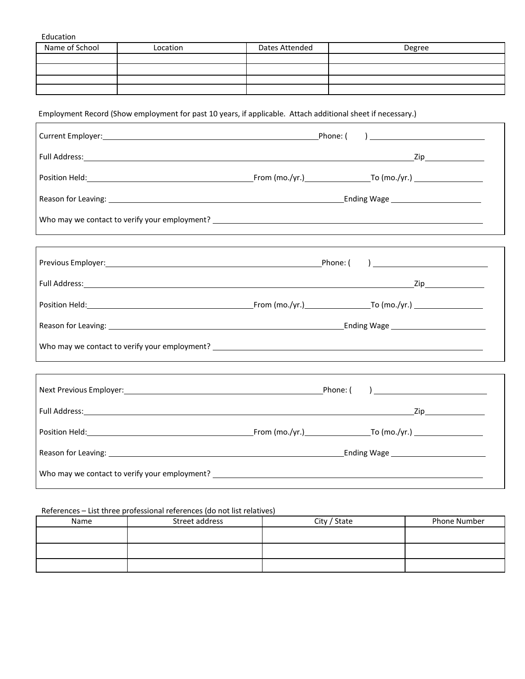Education

| Name of School | Location | Dates Attended | Degree |
|----------------|----------|----------------|--------|
|                |          |                |        |
|                |          |                |        |
|                |          |                |        |
|                |          |                |        |

# Employment Record (Show employment for past 10 years, if applicable. Attach additional sheet if necessary.)

| Reason for Leaving: 1990 Contract to the Contract of Contract of Contract of Contract of Contract of Contract o                                                                                                                |  |  |
|--------------------------------------------------------------------------------------------------------------------------------------------------------------------------------------------------------------------------------|--|--|
|                                                                                                                                                                                                                                |  |  |
|                                                                                                                                                                                                                                |  |  |
|                                                                                                                                                                                                                                |  |  |
|                                                                                                                                                                                                                                |  |  |
|                                                                                                                                                                                                                                |  |  |
| Reason for Leaving: 1990 and 2008 and 2009 and 2009 and 2009 and 2009 and 2009 and 2009 and 2009 and 2009 and 2009 and 2009 and 2009 and 2009 and 2009 and 2009 and 2009 and 2009 and 2009 and 2009 and 2009 and 2009 and 2009 |  |  |
|                                                                                                                                                                                                                                |  |  |
|                                                                                                                                                                                                                                |  |  |
|                                                                                                                                                                                                                                |  |  |
|                                                                                                                                                                                                                                |  |  |
|                                                                                                                                                                                                                                |  |  |
| Reason for Leaving: 1990 Contract to the Contract of Contract of Contract of Contract of Contract of Contract of Contract of Contract of Contract of Contract of Contract of Contract of Contract of Contract of Contract of C |  |  |
|                                                                                                                                                                                                                                |  |  |

# References – List three professional references (do not list relatives)

| Name | Street address | City / State | Phone Number |
|------|----------------|--------------|--------------|
|      |                |              |              |
|      |                |              |              |
|      |                |              |              |
|      |                |              |              |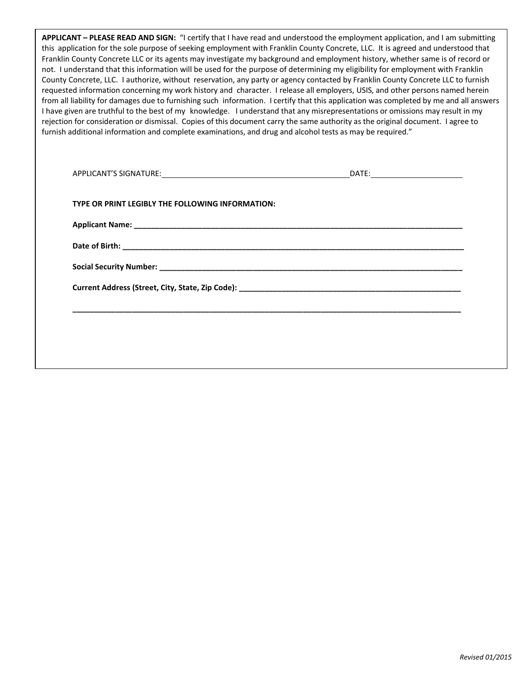| APPLICANT - PLEASE READ AND SIGN: "I certify that I have read and understood the employment application, and I am submitting           |
|----------------------------------------------------------------------------------------------------------------------------------------|
| this application for the sole purpose of seeking employment with Franklin County Concrete, LLC. It is agreed and understood that       |
| Franklin County Concrete LLC or its agents may investigate my background and employment history, whether same is of record or          |
| not. I understand that this information will be used for the purpose of determining my eligibility for employment with Franklin        |
| County Concrete, LLC. I authorize, without reservation, any party or agency contacted by Franklin County Concrete LLC to furnish       |
| requested information concerning my work history and character. I release all employers, USIS, and other persons named herein          |
| from all liability for damages due to furnishing such information. I certify that this application was completed by me and all answers |
| I have given are truthful to the best of my knowledge. I understand that any misrepresentations or omissions may result in my          |
| rejection for consideration or dismissal. Copies of this document carry the same authority as the original document. I agree to        |
| furnish additional information and complete examinations, and drug and alcohol tests as may be required."                              |

| TYPE OR PRINT LEGIBLY THE FOLLOWING INFORMATION: |  |
|--------------------------------------------------|--|
|                                                  |  |
|                                                  |  |
|                                                  |  |
|                                                  |  |
|                                                  |  |
|                                                  |  |
|                                                  |  |